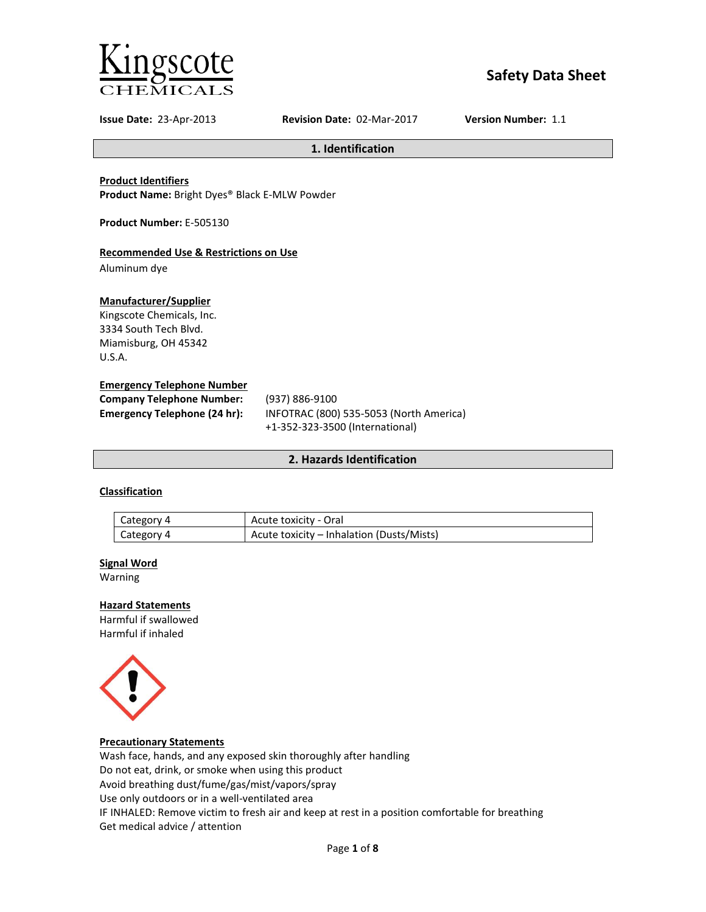

# **Safety Data Sheet**

**Issue Date:** 23-Apr-2013 **Revision Date:** 02-Mar-2017 **Version Number:** 1.1

**1. Identification**

**Product Identifiers**

**Product Name:** Bright Dyes® Black E-MLW Powder

**Product Number:** E-505130

# **Recommended Use & Restrictions on Use**

Aluminum dye

### **Manufacturer/Supplier**

Kingscote Chemicals, Inc. 3334 South Tech Blvd. Miamisburg, OH 45342 U.S.A.

### **Emergency Telephone Number**

| <b>Company Telephone Number:</b> | (937) 886-9100                          |
|----------------------------------|-----------------------------------------|
| Emergency Telephone (24 hr):     | INFOTRAC (800) 535-5053 (North America) |
|                                  | +1-352-323-3500 (International)         |

## **2. Hazards Identification**

# **Classification**

| Category 4 | Acute toxicity - Oral                     |
|------------|-------------------------------------------|
| Category 4 | Acute toxicity – Inhalation (Dusts/Mists) |

#### **Signal Word**

Warning

# **Hazard Statements**

Harmful if swallowed Harmful if inhaled



#### **Precautionary Statements**

Wash face, hands, and any exposed skin thoroughly after handling Do not eat, drink, or smoke when using this product Avoid breathing dust/fume/gas/mist/vapors/spray Use only outdoors or in a well-ventilated area IF INHALED: Remove victim to fresh air and keep at rest in a position comfortable for breathing Get medical advice / attention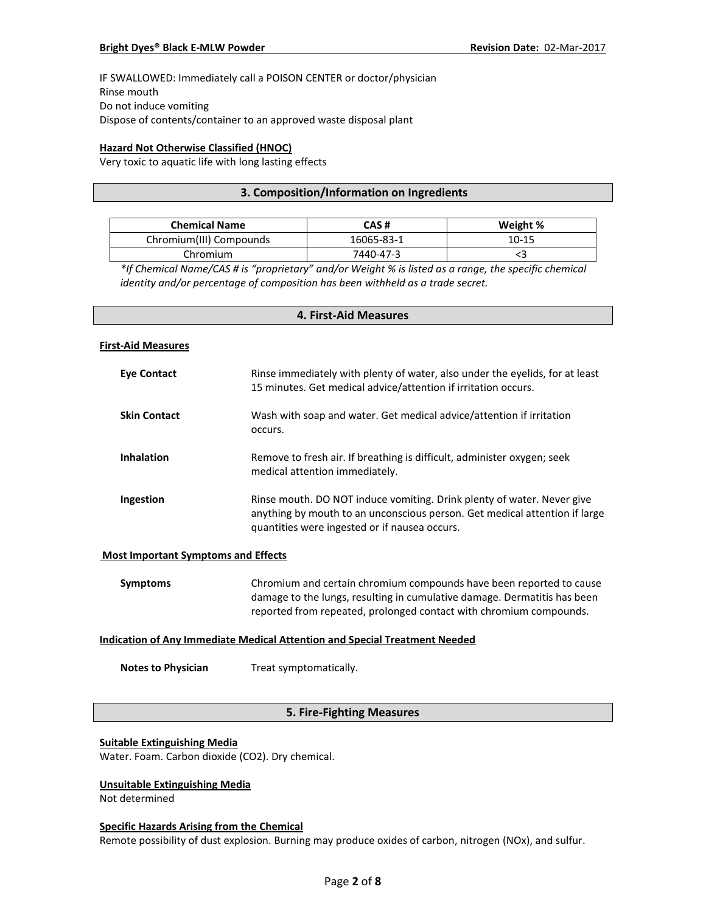IF SWALLOWED: Immediately call a POISON CENTER or doctor/physician Rinse mouth Do not induce vomiting Dispose of contents/container to an approved waste disposal plant

## **Hazard Not Otherwise Classified (HNOC)**

Very toxic to aquatic life with long lasting effects

## **3. Composition/Information on Ingredients**

| <b>Chemical Name</b>    | CAS #      | Weight %  |
|-------------------------|------------|-----------|
| Chromium(III) Compounds | 16065-83-1 | $10 - 15$ |
| Chromium                | 7440-47-3  |           |

*\*If Chemical Name/CAS # is "proprietary" and/or Weight % is listed as a range, the specific chemical identity and/or percentage of composition has been withheld as a trade secret.*

# **4. First-Aid Measures**

#### **First-Aid Measures**

| <b>Eve Contact</b>  | Rinse immediately with plenty of water, also under the eyelids, for at least<br>15 minutes. Get medical advice/attention if irritation occurs.                                                        |
|---------------------|-------------------------------------------------------------------------------------------------------------------------------------------------------------------------------------------------------|
| <b>Skin Contact</b> | Wash with soap and water. Get medical advice/attention if irritation<br>occurs.                                                                                                                       |
| <b>Inhalation</b>   | Remove to fresh air. If breathing is difficult, administer oxygen; seek<br>medical attention immediately.                                                                                             |
| Ingestion           | Rinse mouth. DO NOT induce vomiting. Drink plenty of water. Never give<br>anything by mouth to an unconscious person. Get medical attention if large<br>quantities were ingested or if nausea occurs. |

#### **Most Important Symptoms and Effects**

| Symptoms | Chromium and certain chromium compounds have been reported to cause      |
|----------|--------------------------------------------------------------------------|
|          | damage to the lungs, resulting in cumulative damage. Dermatitis has been |
|          | reported from repeated, prolonged contact with chromium compounds.       |

### **Indication of Any Immediate Medical Attention and Special Treatment Needed**

**Notes to Physician** Treat symptomatically.

# **5. Fire-Fighting Measures**

#### **Suitable Extinguishing Media**

Water. Foam. Carbon dioxide (CO2). Dry chemical.

## **Unsuitable Extinguishing Media**

Not determined

#### **Specific Hazards Arising from the Chemical**

Remote possibility of dust explosion. Burning may produce oxides of carbon, nitrogen (NOx), and sulfur.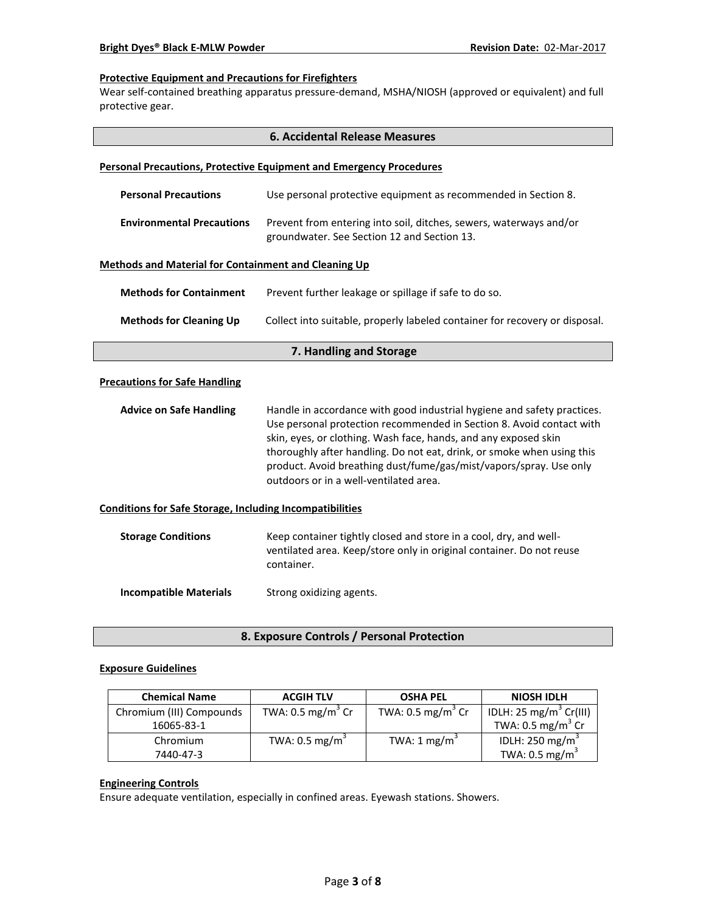### **Protective Equipment and Precautions for Firefighters**

Wear self-contained breathing apparatus pressure-demand, MSHA/NIOSH (approved or equivalent) and full protective gear.

|                                                                 | <b>6. Accidental Release Measures</b>                                                                                                                                                                                                                                                                                                                                                                        |  |
|-----------------------------------------------------------------|--------------------------------------------------------------------------------------------------------------------------------------------------------------------------------------------------------------------------------------------------------------------------------------------------------------------------------------------------------------------------------------------------------------|--|
|                                                                 | <b>Personal Precautions, Protective Equipment and Emergency Procedures</b>                                                                                                                                                                                                                                                                                                                                   |  |
| <b>Personal Precautions</b>                                     | Use personal protective equipment as recommended in Section 8.                                                                                                                                                                                                                                                                                                                                               |  |
| <b>Environmental Precautions</b>                                | Prevent from entering into soil, ditches, sewers, waterways and/or<br>groundwater. See Section 12 and Section 13.                                                                                                                                                                                                                                                                                            |  |
| <b>Methods and Material for Containment and Cleaning Up</b>     |                                                                                                                                                                                                                                                                                                                                                                                                              |  |
| <b>Methods for Containment</b>                                  | Prevent further leakage or spillage if safe to do so.                                                                                                                                                                                                                                                                                                                                                        |  |
| <b>Methods for Cleaning Up</b>                                  | Collect into suitable, properly labeled container for recovery or disposal.                                                                                                                                                                                                                                                                                                                                  |  |
|                                                                 | 7. Handling and Storage                                                                                                                                                                                                                                                                                                                                                                                      |  |
| <b>Precautions for Safe Handling</b>                            |                                                                                                                                                                                                                                                                                                                                                                                                              |  |
| <b>Advice on Safe Handling</b>                                  | Handle in accordance with good industrial hygiene and safety practices.<br>Use personal protection recommended in Section 8. Avoid contact with<br>skin, eyes, or clothing. Wash face, hands, and any exposed skin<br>thoroughly after handling. Do not eat, drink, or smoke when using this<br>product. Avoid breathing dust/fume/gas/mist/vapors/spray. Use only<br>outdoors or in a well-ventilated area. |  |
| <b>Conditions for Safe Storage, Including Incompatibilities</b> |                                                                                                                                                                                                                                                                                                                                                                                                              |  |
| <b>Storage Conditions</b>                                       | Keep container tightly closed and store in a cool, dry, and well-<br>ventilated area. Keep/store only in original container. Do not reuse<br>container.                                                                                                                                                                                                                                                      |  |
| <b>Incompatible Materials</b>                                   | Strong oxidizing agents.                                                                                                                                                                                                                                                                                                                                                                                     |  |

# **8. Exposure Controls / Personal Protection**

#### **Exposure Guidelines**

| <b>Chemical Name</b>     | <b>ACGIH TLV</b>             | <b>OSHA PEL</b>              | <b>NIOSH IDLH</b>                  |
|--------------------------|------------------------------|------------------------------|------------------------------------|
| Chromium (III) Compounds | TWA: $0.5 \text{ mg/m}^3$ Cr | TWA: $0.5 \text{ mg/m}^3$ Cr | IDLH: 25 mg/m <sup>3</sup> Cr(III) |
| 16065-83-1               |                              |                              | TWA: $0.5 \text{ mg/m}^3$ Cr       |
| Chromium                 | TWA: $0.5 \text{ mg/m}^3$    | TWA: $1 \text{ mg/m}^3$      | IDLH: 250 mg/m <sup>3</sup>        |
| 7440-47-3                |                              |                              | TWA: $0.5 \text{ mg/m}^3$          |

# **Engineering Controls**

Ensure adequate ventilation, especially in confined areas. Eyewash stations. Showers.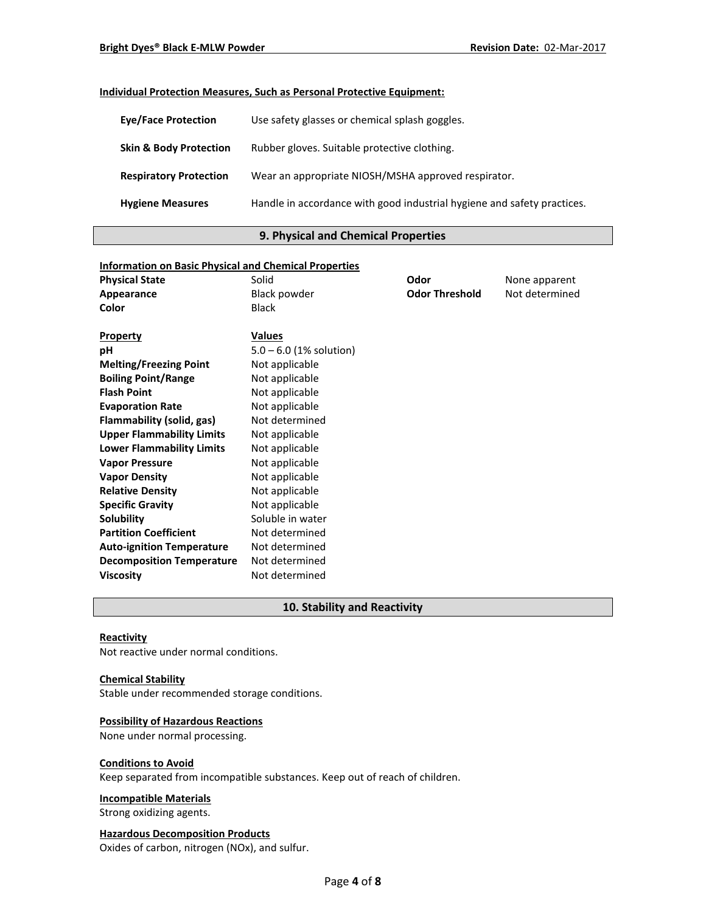# **Individual Protection Measures, Such as Personal Protective Equipment:**

| <b>Eve/Face Protection</b>        | Use safety glasses or chemical splash goggles.                          |
|-----------------------------------|-------------------------------------------------------------------------|
| <b>Skin &amp; Body Protection</b> | Rubber gloves. Suitable protective clothing.                            |
| <b>Respiratory Protection</b>     | Wear an appropriate NIOSH/MSHA approved respirator.                     |
| <b>Hygiene Measures</b>           | Handle in accordance with good industrial hygiene and safety practices. |

# **9. Physical and Chemical Properties**

| <b>Information on Basic Physical and Chemical Properties</b> |                           |                       |                |
|--------------------------------------------------------------|---------------------------|-----------------------|----------------|
| <b>Physical State</b>                                        | Solid                     | Odor                  | None apparent  |
| Appearance                                                   | <b>Black powder</b>       | <b>Odor Threshold</b> | Not determined |
| Color                                                        | <b>Black</b>              |                       |                |
|                                                              |                           |                       |                |
| <b>Property</b>                                              | <b>Values</b>             |                       |                |
| рH                                                           | $5.0 - 6.0$ (1% solution) |                       |                |
| <b>Melting/Freezing Point</b>                                | Not applicable            |                       |                |
| <b>Boiling Point/Range</b>                                   | Not applicable            |                       |                |
| <b>Flash Point</b>                                           | Not applicable            |                       |                |
| <b>Evaporation Rate</b>                                      | Not applicable            |                       |                |
| Flammability (solid, gas)                                    | Not determined            |                       |                |
| <b>Upper Flammability Limits</b>                             | Not applicable            |                       |                |
| <b>Lower Flammability Limits</b>                             | Not applicable            |                       |                |
| <b>Vapor Pressure</b>                                        | Not applicable            |                       |                |
| <b>Vapor Density</b>                                         | Not applicable            |                       |                |
| <b>Relative Density</b>                                      | Not applicable            |                       |                |
| <b>Specific Gravity</b>                                      | Not applicable            |                       |                |
| Solubility                                                   | Soluble in water          |                       |                |
| <b>Partition Coefficient</b>                                 | Not determined            |                       |                |
| <b>Auto-ignition Temperature</b>                             | Not determined            |                       |                |
| <b>Decomposition Temperature</b>                             | Not determined            |                       |                |
| <b>Viscosity</b>                                             | Not determined            |                       |                |

# **10. Stability and Reactivity**

## **Reactivity**

Not reactive under normal conditions.

#### **Chemical Stability**

Stable under recommended storage conditions.

# **Possibility of Hazardous Reactions**

None under normal processing.

#### **Conditions to Avoid**

Keep separated from incompatible substances. Keep out of reach of children.

#### **Incompatible Materials**

Strong oxidizing agents.

# **Hazardous Decomposition Products**

Oxides of carbon, nitrogen (NOx), and sulfur.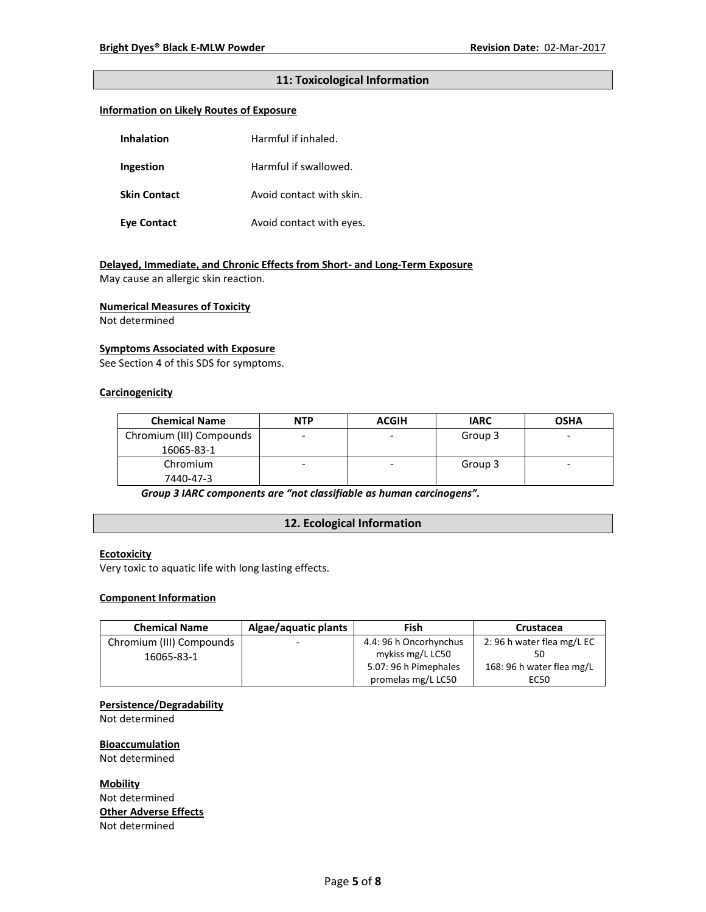# **11: Toxicological Information**

### **Information on Likely Routes of Exposure**

| Inhalation          | Harmful if inhaled.      |  |
|---------------------|--------------------------|--|
| Ingestion           | Harmful if swallowed.    |  |
| <b>Skin Contact</b> | Avoid contact with skin. |  |
| <b>Eye Contact</b>  | Avoid contact with eyes. |  |

# **Delayed, Immediate, and Chronic Effects from Short- and Long-Term Exposure**

May cause an allergic skin reaction.

#### **Numerical Measures of Toxicity**

Not determined

#### **Symptoms Associated with Exposure**

See Section 4 of this SDS for symptoms.

## **Carcinogenicity**

| <b>Chemical Name</b>     | <b>NTP</b> | <b>ACGIH</b> | <b>IARC</b> | <b>OSHA</b> |
|--------------------------|------------|--------------|-------------|-------------|
| Chromium (III) Compounds |            |              | Group 3     | -           |
| 16065-83-1               |            |              |             |             |
| Chromium                 |            | ۰            | Group 3     | -           |
| 7440-47-3                |            |              |             |             |

*Group 3 IARC components are "not classifiable as human carcinogens".*

# **12. Ecological Information**

## **Ecotoxicity**

Very toxic to aquatic life with long lasting effects.

#### **Component Information**

| <b>Chemical Name</b>     | Algae/aquatic plants     | Fish                   | Crustacea                 |
|--------------------------|--------------------------|------------------------|---------------------------|
| Chromium (III) Compounds | $\overline{\phantom{0}}$ | 4.4: 96 h Oncorhynchus | 2:96 h water flea mg/L EC |
| 16065-83-1               |                          | mykiss mg/L LC50       |                           |
|                          |                          | 5.07: 96 h Pimephales  | 168: 96 h water flea mg/L |
|                          |                          | promelas mg/L LC50     | EC50                      |

#### **Persistence/Degradability**

Not determined

**Bioaccumulation** Not determined

**Mobility** Not determined **Other Adverse Effects** Not determined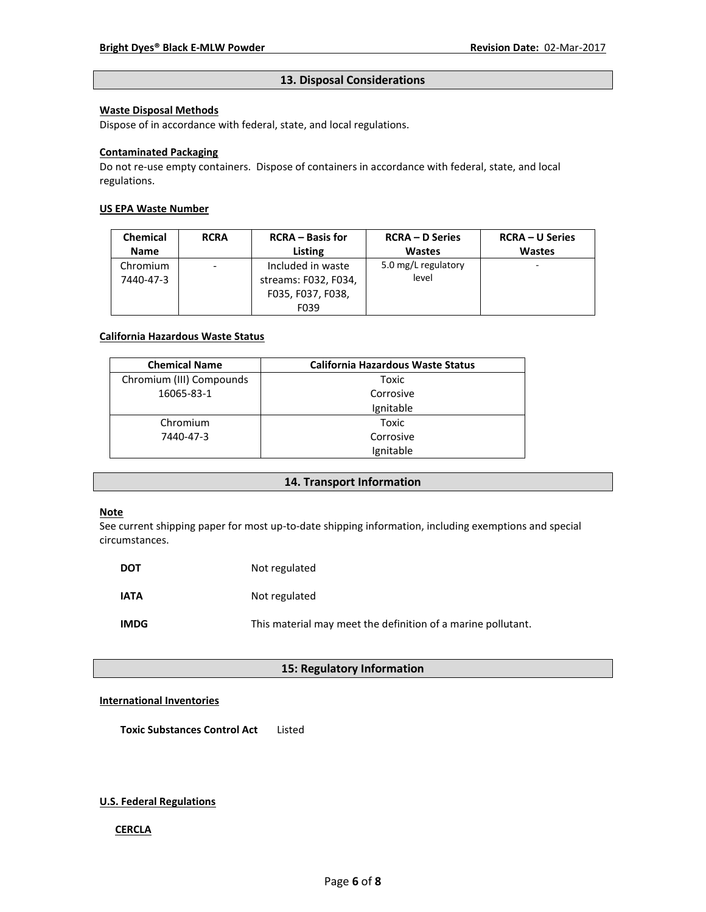#### **13. Disposal Considerations**

### **Waste Disposal Methods**

Dispose of in accordance with federal, state, and local regulations.

### **Contaminated Packaging**

Do not re-use empty containers.Dispose of containers in accordance with federal, state, and local regulations.

### **US EPA Waste Number**

| <b>Chemical</b> | <b>RCRA</b>                  | <b>RCRA</b> – Basis for | <b>RCRA – D Series</b> | <b>RCRA – U Series</b> |
|-----------------|------------------------------|-------------------------|------------------------|------------------------|
| <b>Name</b>     |                              | Listing                 | <b>Wastes</b>          | <b>Wastes</b>          |
| Chromium        | $\qquad \qquad \blacksquare$ | Included in waste       | 5.0 mg/L regulatory    | ۰                      |
| 7440-47-3       |                              | streams: F032, F034,    | level                  |                        |
|                 |                              | F035, F037, F038,       |                        |                        |
|                 |                              | F039                    |                        |                        |

#### **California Hazardous Waste Status**

| <b>Chemical Name</b>     | <b>California Hazardous Waste Status</b> |
|--------------------------|------------------------------------------|
| Chromium (III) Compounds | Toxic                                    |
| 16065-83-1               | Corrosive                                |
|                          | Ignitable                                |
| Chromium                 | Toxic                                    |
| 7440-47-3                | Corrosive                                |
|                          | Ignitable                                |

# **14. Transport Information**

# **Note**

See current shipping paper for most up-to-date shipping information, including exemptions and special circumstances.

| <b>DOT</b>  | Not regulated                                                |
|-------------|--------------------------------------------------------------|
| <b>IATA</b> | Not regulated                                                |
| <b>IMDG</b> | This material may meet the definition of a marine pollutant. |

# **15: Regulatory Information**

### **International Inventories**

**Toxic Substances Control Act** Listed

#### **U.S. Federal Regulations**

#### **CERCLA**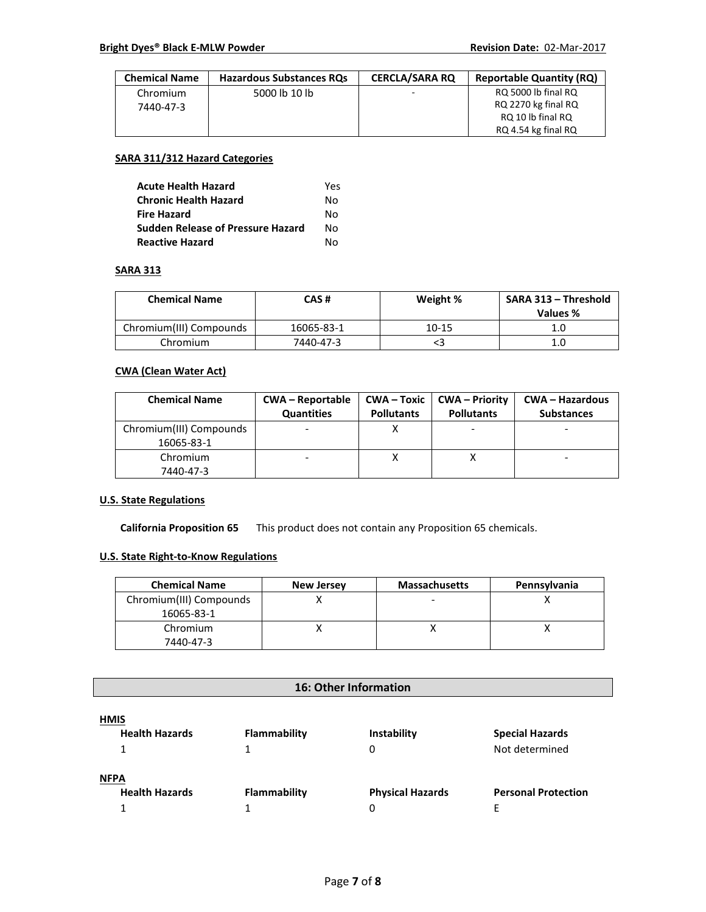| <b>Chemical Name</b> | <b>Hazardous Substances RQs</b> | <b>CERCLA/SARA RO</b>    | <b>Reportable Quantity (RQ)</b> |
|----------------------|---------------------------------|--------------------------|---------------------------------|
| Chromium             | 5000 lb 10 lb                   | $\overline{\phantom{a}}$ | RQ 5000 lb final RQ             |
| 7440-47-3            |                                 |                          | RQ 2270 kg final RQ             |
|                      |                                 |                          | RQ 10 lb final RQ               |
|                      |                                 |                          | RQ 4.54 kg final RQ             |

### **SARA 311/312 Hazard Categories**

| <b>Acute Health Hazard</b>               | Yes |
|------------------------------------------|-----|
| <b>Chronic Health Hazard</b>             | N٥  |
| <b>Fire Hazard</b>                       | N٥  |
| <b>Sudden Release of Pressure Hazard</b> | N٥  |
| <b>Reactive Hazard</b>                   | N٥  |

#### **SARA 313**

| <b>Chemical Name</b>    | CAS #      | Weight % | SARA 313 - Threshold<br>Values % |
|-------------------------|------------|----------|----------------------------------|
| Chromium(III) Compounds | 16065-83-1 | 10-15    | 1.0                              |
| Chromium                | 7440-47-3  |          | 1.C                              |

# **CWA (Clean Water Act)**

| <b>Chemical Name</b>    | <b>CWA - Reportable</b><br><b>Quantities</b> | CWA – Toxic<br><b>Pollutants</b> | <b>CWA – Priority</b><br><b>Pollutants</b> | <b>CWA – Hazardous</b><br><b>Substances</b> |
|-------------------------|----------------------------------------------|----------------------------------|--------------------------------------------|---------------------------------------------|
| Chromium(III) Compounds |                                              |                                  |                                            |                                             |
| 16065-83-1              |                                              |                                  |                                            |                                             |
| Chromium                |                                              |                                  |                                            |                                             |
| 7440-47-3               |                                              |                                  |                                            |                                             |

### **U.S. State Regulations**

**California Proposition 65** This product does not contain any Proposition 65 chemicals.

## **U.S. State Right-to-Know Regulations**

| <b>Chemical Name</b>    | <b>New Jersey</b> | <b>Massachusetts</b> | Pennsylvania |
|-------------------------|-------------------|----------------------|--------------|
| Chromium(III) Compounds |                   |                      |              |
| 16065-83-1              |                   |                      |              |
| Chromium                |                   |                      |              |
| 7440-47-3               |                   |                      |              |

# **16: Other Information**

| <b>HMIS</b>           |              |                         |                            |
|-----------------------|--------------|-------------------------|----------------------------|
| <b>Health Hazards</b> | Flammability | Instability             | <b>Special Hazards</b>     |
|                       |              |                         | Not determined             |
| <b>NFPA</b>           |              |                         |                            |
| <b>Health Hazards</b> | Flammability | <b>Physical Hazards</b> | <b>Personal Protection</b> |
|                       |              |                         |                            |